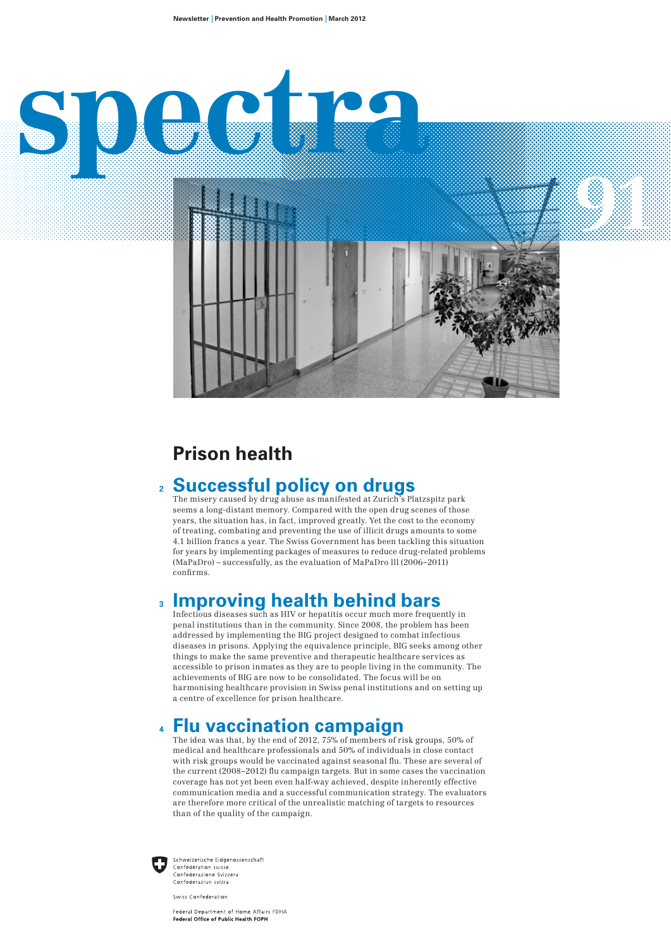

# **Prison health**

# 2 **Successful policy on drugs**<br>The misery caused by drug abuse as manifested at Zurich's Platzspitz park

seems a long-distant memory. Compared with the open drug scenes of those years, the situation has, in fact, improved greatly. Yet the cost to the economy of treating, combating and preventing the use of illicit drugs amounts to some 4.1 billion francs a year. The Swiss Government has been tackling this situation for years by implementing packages of measures to reduce drug-related problems (MaPaDro) – successfully, as the evaluation of MaPaDro lll (2006–2011) confirms.

### **3 Improving health behind bars**

Infectious diseases such as HIV or hepatitis occur much more frequently in penal institutions than in the community. Since 2008, the problem has been addressed by implementing the BIG project designed to combat infectious diseases in prisons. Applying the equivalence principle, BIG seeks among other things to make the same preventive and therapeutic healthcare services as accessible to prison inmates as they are to people living in the community. The achievements of BIG are now to be consolidated. The focus will be on harmonising healthcare provision in Swiss penal institutions and on setting up a centre of excellence for prison healthcare.

### **4 Flu vaccination campaign**

The idea was that, by the end of 2012, 75% of members of risk groups, 50% of medical and healthcare professionals and 50% of individuals in close contact with risk groups would be vaccinated against seasonal flu. These are several of the current (2008–2012) flu campaign targets. But in some cases the vaccination coverage has not yet been even half-way achieved, despite inherently effective communication media and a successful communication strategy. The evaluators are therefore more critical of the unrealistic matching of targets to resources than of the quality of the campaign.



Schweizerische Eidgenossenschaft Confédération suisse Confederazione Svizzera Confederaziun svizra

Swiss Confederation

Federal Department of Home Affairs FDHA Federal Office of Public Health FOPH